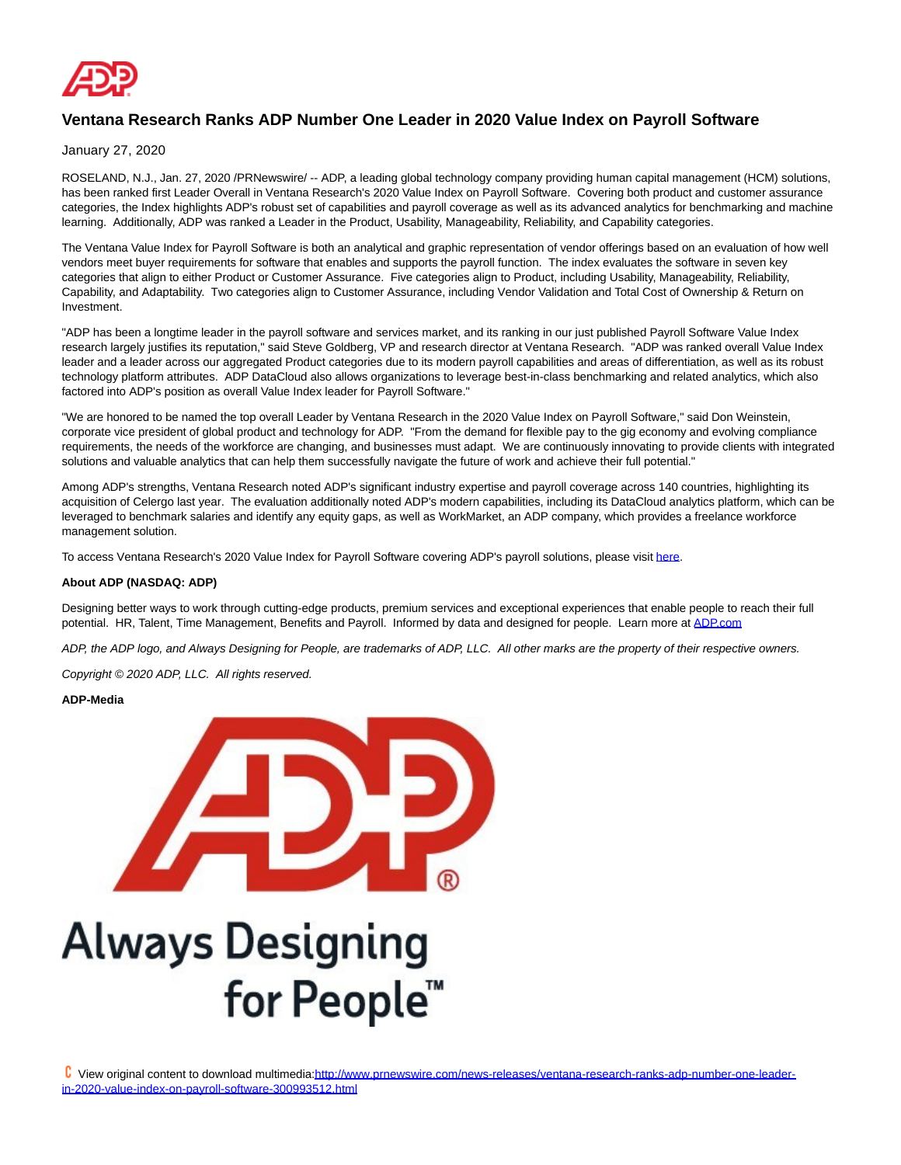

## **Ventana Research Ranks ADP Number One Leader in 2020 Value Index on Payroll Software**

January 27, 2020

ROSELAND, N.J., Jan. 27, 2020 /PRNewswire/ -- ADP, a leading global technology company providing human capital management (HCM) solutions, has been ranked first Leader Overall in Ventana Research's 2020 Value Index on Payroll Software. Covering both product and customer assurance categories, the Index highlights ADP's robust set of capabilities and payroll coverage as well as its advanced analytics for benchmarking and machine learning. Additionally, ADP was ranked a Leader in the Product, Usability, Manageability, Reliability, and Capability categories.

The Ventana Value Index for Payroll Software is both an analytical and graphic representation of vendor offerings based on an evaluation of how well vendors meet buyer requirements for software that enables and supports the payroll function. The index evaluates the software in seven key categories that align to either Product or Customer Assurance. Five categories align to Product, including Usability, Manageability, Reliability, Capability, and Adaptability. Two categories align to Customer Assurance, including Vendor Validation and Total Cost of Ownership & Return on Investment.

"ADP has been a longtime leader in the payroll software and services market, and its ranking in our just published Payroll Software Value Index research largely justifies its reputation," said Steve Goldberg, VP and research director at Ventana Research. "ADP was ranked overall Value Index leader and a leader across our aggregated Product categories due to its modern payroll capabilities and areas of differentiation, as well as its robust technology platform attributes. ADP DataCloud also allows organizations to leverage best-in-class benchmarking and related analytics, which also factored into ADP's position as overall Value Index leader for Payroll Software."

"We are honored to be named the top overall Leader by Ventana Research in the 2020 Value Index on Payroll Software," said Don Weinstein, corporate vice president of global product and technology for ADP. "From the demand for flexible pay to the gig economy and evolving compliance requirements, the needs of the workforce are changing, and businesses must adapt. We are continuously innovating to provide clients with integrated solutions and valuable analytics that can help them successfully navigate the future of work and achieve their full potential."

Among ADP's strengths, Ventana Research noted ADP's significant industry expertise and payroll coverage across 140 countries, highlighting its acquisition of Celergo last year. The evaluation additionally noted ADP's modern capabilities, including its DataCloud analytics platform, which can be leveraged to benchmark salaries and identify any equity gaps, as well as WorkMarket, an ADP company, which provides a freelance workforce management solution.

To access Ventana Research's 2020 Value Index for Payroll Software covering ADP's payroll solutions, please visi[t here.](https://c212.net/c/link/?t=0&l=en&o=2703078-1&h=743073349&u=https%3A%2F%2Fwww.adp.com%2FResources%2FWhat-Others-Say%2FAnalyst-Reports%2FVentana-Research-Payroll-Software-Value-Index-2020-Report.aspx&a=here)

## **About ADP (NASDAQ: ADP)**

Designing better ways to work through cutting-edge products, premium services and exceptional experiences that enable people to reach their full potential. HR, Talent, Time Management, Benefits and Payroll. Informed by data and designed for people. Learn more at [ADP.com](https://c212.net/c/link/?t=0&l=en&o=2703078-1&h=3179030337&u=http%3A%2F%2Fwww.adp.com%2F&a=ADP.com)

ADP, the ADP logo, and Always Designing for People, are trademarks of ADP, LLC. All other marks are the property of their respective owners.

Copyright © 2020 ADP, LLC. All rights reserved.

**ADP-Media**